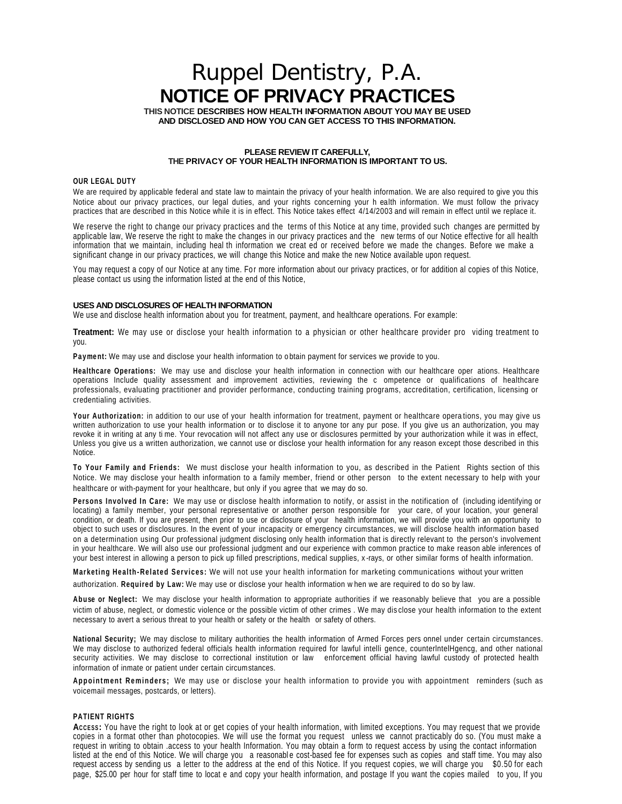# Ruppel Dentistry, P.A. **NOTICE OF PRIVACY PRACTICES**

**THIS NOTICE DESCRIBES HOW HEALTH INFORMATION ABOUT YOU MAY BE USED AND DISCLOSED AND HOW YOU CAN GET ACCESS TO THIS INFORMATION.**

### **PLEASE REVIEW IT CAREFULLY, THE PRIVACY OF YOUR HEALTH INFORMATION IS IMPORTANT TO US.**

#### **OUR LEGAL DUTY**

We are required by applicable federal and state law to maintain the privacy of your health information. We are also required to give you this Notice about our privacy practices, our legal duties, and your rights concerning your h ealth information. We must follow the privacy practices that are described in this Notice while it is in effect. This Notice takes effect 4/14/2003 and will remain in effect until we replace it.

We reserve the right to change our privacy practices and the terms of this Notice at any time, provided such changes are permitted by applicable law, We reserve the right to make the changes in our privacy practices and the new terms of our Notice effective for all health information that we maintain, including heal th information we creat ed or received before we made the changes. Before we make a significant change in our privacy practices, we will change this Notice and make the new Notice available upon request.

You may request a copy of our Notice at any time. For more information about our privacy practices, or for addition al copies of this Notice, please contact us using the information listed at the end of this Notice,

#### **USES AND DISCLOSURES OF HEALTH INFORMATION**

We use and disclose health information about you for treatment, payment, and healthcare operations. For example:

**Treatment:** We may use or disclose your health information to a physician or other healthcare provider pro viding treatment to you.

Payment: We may use and disclose your health information to obtain payment for services we provide to you.

**Healthcare Operations:** We may use and disclose your health information in connection with our healthcare oper ations. Healthcare operations Include quality assessment and improvement activities, reviewing the c ompetence or qualifications of healthcare professionals, evaluating practitioner and provider performance, conducting training programs, accreditation, certification, licensing or credentialing activities.

**Your Authorization:** in addition to our use of your health information for treatment, payment or healthcare opera tions, you may give us written authorization to use your health information or to disclose it to anyone tor any pur pose. If you give us an authorization, you may revoke it in writing at any ti me. Your revocation will not affect any use or disclosures permitted by your authorization while it was in effect, Unless you give us a written authorization, we cannot use or disclose your health information for any reason except those described in this Notice.

**To Your Family and Friends:** We must disclose your health information to you, as described in the Patient Rights section of this Notice. We may disclose your health information to a family member, friend or other person to the extent necessary to help with your healthcare or with-payment for your healthcare, but only if you agree that we may do so.

**Persons Involved In Care:** We may use or disclose health information to notify, or assist in the notification of (including identifying or locating) a family member, your personal representative or another person responsible for your care, of your location, your general condition, or death. If you are present, then prior to use or disclosure of your health information, we will provide you with an opportunity to object to such uses or disclosures. In the event of your incapacity or emergency circumstances, we will disclose health information based on a determination using Our professional judgment disclosing only health information that is directly relevant to the person's involvement in your healthcare. We will also use our professional judgment and our experience with common practice to make reason able inferences of your best interest in allowing a person to pick up filled prescriptions, medical supplies, x-rays, or other similar forms of health information.

**Marketing Health-Related Services:** We will not use your health information for marketing communications without your written authorization. **Required by Law:** We may use or disclose your health information w hen we are required to do so by law.

**Abuse or Neglect:** We may disclose your health information to appropriate authorities if we reasonably believe that you are a possible victim of abuse, neglect, or domestic violence or the possible victim of other crimes . We may dis close your health information to the extent necessary to avert a serious threat to your health or safety or the health or safety of others.

**National Security;** We may disclose to military authorities the health information of Armed Forces pers onnel under certain circumstances. We may disclose to authorized federal officials health information required for lawful intelli gence, counterlntelHgencg, and other national security activities. We may disclose to correctional institution or law enforcement official having lawful custody of protected health information of inmate or patient under certain circumstances.

**Appointment Reminders;** We may use or disclose your health information to provide you with appointment reminders (such as voicemail messages, postcards, or letters).

## **PATIENT RIGHTS**

**ACCESS:** You have the right to look at or get copies of your health information, with limited exceptions. You may request that we provide copies in a format other than photocopies. We will use the format you request unless we cannot practicably do so. (You must make a request in writing to obtain .access to your health Information. You may obtain a form to request access by using the contact information listed at the end of this Notice. We will charge you a reasonable cost-based fee for expenses such as copies and staff time. You may also request access by sending us a letter to the address at the end of this Notice. If you request copies, we will charge you \$0.50 for each page, \$25.00 per hour for staff time to locat e and copy your health information, and postage If you want the copies mailed to you, If you